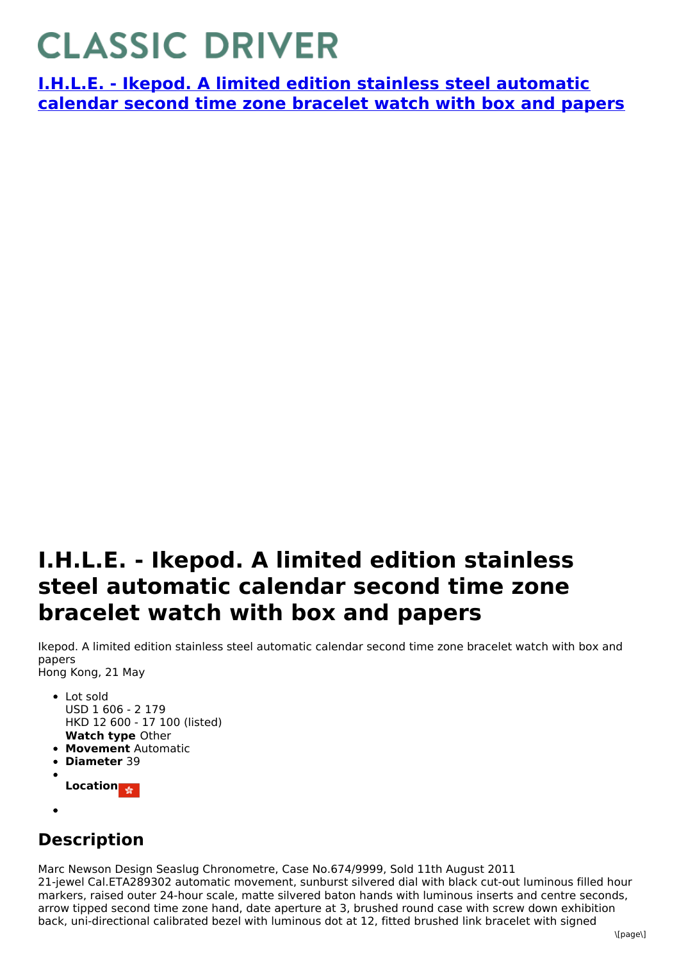## **CLASSIC DRIVER**

**I.H.L.E. - Ikepod. A limited edition stainless steel [automatic](https://www.classicdriver.com/en/watch/ihle/225520) calendar second time zone bracelet watch with box and papers**

## **I.H.L.E. - Ikepod. A limited edition stainless steel automatic calendar second time zone bracelet watch with box and papers**

Ikepod. A limited edition stainless steel automatic calendar second time zone bracelet watch with box and papers Hong Kong, 21 May

- **Watch type** Other • Lot sold USD 1 606 - 2 179 HKD 12 600 - 17 100 (listed)
- **Movement** Automatic
- **Diameter** 39
- **Location**
- 

## **Description**

Marc Newson Design Seaslug Chronometre, Case No.674/9999, Sold 11th August 2011 21-jewel Cal.ETA289302 automatic movement, sunburst silvered dial with black cut-out luminous filled hour markers, raised outer 24-hour scale, matte silvered baton hands with luminous inserts and centre seconds, arrow tipped second time zone hand, date aperture at 3, brushed round case with screw down exhibition back, uni-directional calibrated bezel with luminous dot at 12, fitted brushed link bracelet with signed